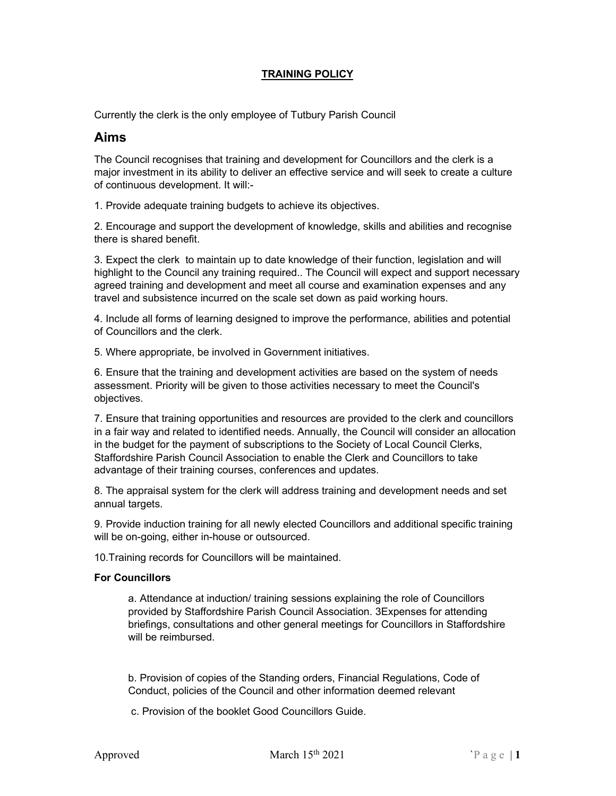## TRAINING POLICY

Currently the clerk is the only employee of Tutbury Parish Council

# Aims

The Council recognises that training and development for Councillors and the clerk is a major investment in its ability to deliver an effective service and will seek to create a culture of continuous development. It will:-

1. Provide adequate training budgets to achieve its objectives.

2. Encourage and support the development of knowledge, skills and abilities and recognise there is shared benefit.

3. Expect the clerk to maintain up to date knowledge of their function, legislation and will highlight to the Council any training required.. The Council will expect and support necessary agreed training and development and meet all course and examination expenses and any travel and subsistence incurred on the scale set down as paid working hours.

4. Include all forms of learning designed to improve the performance, abilities and potential of Councillors and the clerk.

5. Where appropriate, be involved in Government initiatives.

6. Ensure that the training and development activities are based on the system of needs assessment. Priority will be given to those activities necessary to meet the Council's objectives.

7. Ensure that training opportunities and resources are provided to the clerk and councillors in a fair way and related to identified needs. Annually, the Council will consider an allocation in the budget for the payment of subscriptions to the Society of Local Council Clerks, Staffordshire Parish Council Association to enable the Clerk and Councillors to take advantage of their training courses, conferences and updates.

8. The appraisal system for the clerk will address training and development needs and set annual targets.

9. Provide induction training for all newly elected Councillors and additional specific training will be on-going, either in-house or outsourced.

10.Training records for Councillors will be maintained.

### For Councillors

a. Attendance at induction/ training sessions explaining the role of Councillors provided by Staffordshire Parish Council Association. 3Expenses for attending briefings, consultations and other general meetings for Councillors in Staffordshire will be reimbursed.

b. Provision of copies of the Standing orders, Financial Regulations, Code of Conduct, policies of the Council and other information deemed relevant

c. Provision of the booklet Good Councillors Guide.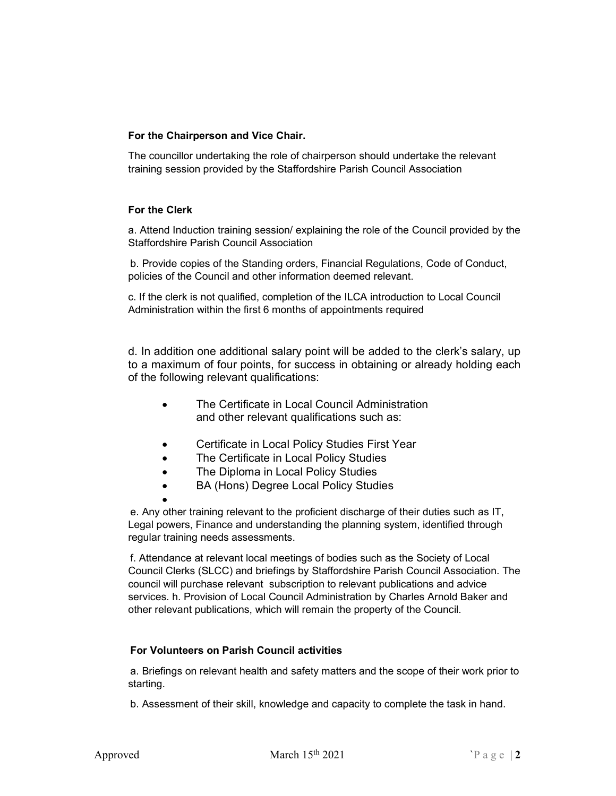### For the Chairperson and Vice Chair.

The councillor undertaking the role of chairperson should undertake the relevant training session provided by the Staffordshire Parish Council Association

#### For the Clerk

a. Attend Induction training session/ explaining the role of the Council provided by the Staffordshire Parish Council Association

b. Provide copies of the Standing orders, Financial Regulations, Code of Conduct, policies of the Council and other information deemed relevant.

c. If the clerk is not qualified, completion of the ILCA introduction to Local Council Administration within the first 6 months of appointments required

d. In addition one additional salary point will be added to the clerk's salary, up to a maximum of four points, for success in obtaining or already holding each of the following relevant qualifications:

- The Certificate in Local Council Administration and other relevant qualifications such as:
- Certificate in Local Policy Studies First Year
- The Certificate in Local Policy Studies
- The Diploma in Local Policy Studies
- BA (Hons) Degree Local Policy Studies

 $\bullet$ e. Any other training relevant to the proficient discharge of their duties such as IT, Legal powers, Finance and understanding the planning system, identified through regular training needs assessments.

f. Attendance at relevant local meetings of bodies such as the Society of Local Council Clerks (SLCC) and briefings by Staffordshire Parish Council Association. The council will purchase relevant subscription to relevant publications and advice services. h. Provision of Local Council Administration by Charles Arnold Baker and other relevant publications, which will remain the property of the Council.

### For Volunteers on Parish Council activities

a. Briefings on relevant health and safety matters and the scope of their work prior to starting.

b. Assessment of their skill, knowledge and capacity to complete the task in hand.